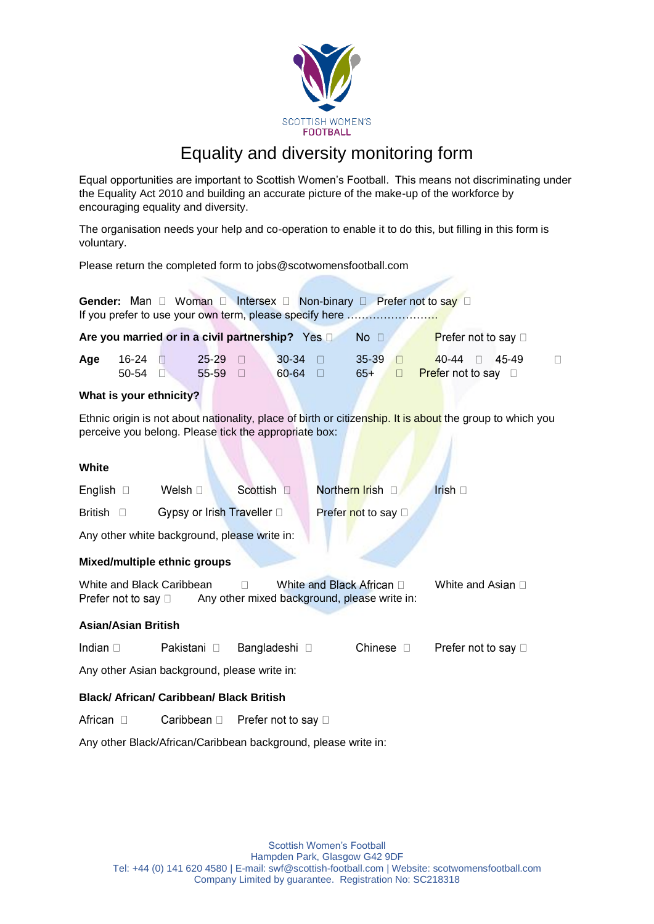

# Equality and diversity monitoring form

Equal opportunities are important to Scottish Women's Football. This means not discriminating under the Equality Act 2010 and building an accurate picture of the make-up of the workforce by encouraging equality and diversity.

The organisation needs your help and co-operation to enable it to do this, but filling in this form is voluntary.

Please return the completed form to jobs@scotwomensfootball.com

| Gender: Man $\Box$ Woman $\Box$ Intersex $\Box$ Non-binary $\Box$ Prefer not to say $\Box$<br>If you prefer to use your own term, please specify here              |                         |                 |                         |                                                |                           |  |                             |             |                                                                 |   |
|--------------------------------------------------------------------------------------------------------------------------------------------------------------------|-------------------------|-----------------|-------------------------|------------------------------------------------|---------------------------|--|-----------------------------|-------------|-----------------------------------------------------------------|---|
|                                                                                                                                                                    |                         |                 |                         | Are you married or in a civil partnership? Yes |                           |  | $No$ $\Box$                 |             | Prefer not to say $\square$                                     |   |
| Age                                                                                                                                                                | $16-24$<br>50-54 $\Box$ |                 | 25-29 0<br>55-59 $\Box$ |                                                | $30-34$<br>$60-64$ $\Box$ |  | $35-39$<br>$65+$            | $\Box$<br>П | $40 - 44$<br>45-49<br>$\Box$<br><b>Prefer not to say</b> $\Box$ | П |
| What is your ethnicity?                                                                                                                                            |                         |                 |                         |                                                |                           |  |                             |             |                                                                 |   |
| Ethnic origin is not about nationality, place of birth or citizenship. It is about the group to which you<br>perceive you belong. Please tick the appropriate box: |                         |                 |                         |                                                |                           |  |                             |             |                                                                 |   |
| White                                                                                                                                                              |                         |                 |                         |                                                |                           |  |                             |             |                                                                 |   |
| English $\square$                                                                                                                                                  |                         | Welsh $\square$ |                         | Scottish <sup>[]</sup>                         |                           |  | Northern Irish D            |             | Irish $\square$                                                 |   |
| British D                                                                                                                                                          |                         |                 |                         | Gypsy or Irish Traveller D                     |                           |  | Prefer not to say $\square$ |             |                                                                 |   |
| Any other white background, please write in:                                                                                                                       |                         |                 |                         |                                                |                           |  |                             |             |                                                                 |   |
| Mixed/multiple ethnic groups                                                                                                                                       |                         |                 |                         |                                                |                           |  |                             |             |                                                                 |   |
| White and Black African $\Box$<br>White and Black Caribbean<br>White and Asian □<br>Prefer not to say $\square$<br>Any other mixed background, please write in:    |                         |                 |                         |                                                |                           |  |                             |             |                                                                 |   |

# **Asian/Asian British**

| Indian $\square$ |  | Pakistani □ Bangladeshi □ | Chinese $\Box$ | Prefer not to say □ |
|------------------|--|---------------------------|----------------|---------------------|
|------------------|--|---------------------------|----------------|---------------------|

Any other Asian background, please write in:

# **Black/ African/ Caribbean/ Black British**

African  $\square$ Caribbean □ Prefer not to say □

Any other Black/African/Caribbean background, please write in: